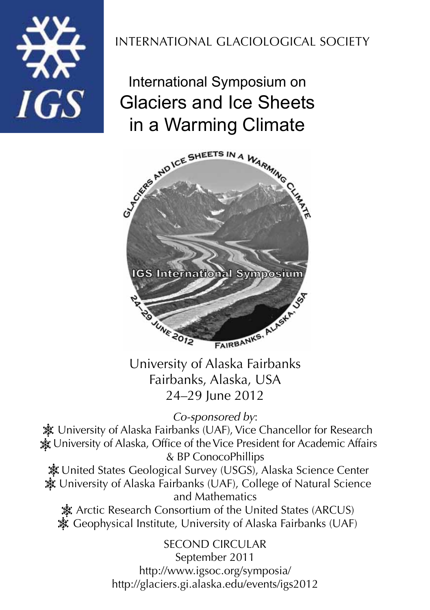

# INTERNATIONAL GLACIOLOGICAL SOCIETY

# International Symposium on Glaciers and Ice Sheets



Fairbanks, Alaska, USA 24–29 June 2012

*Co-sponsored by*:

University of Alaska Fairbanks (UAF), Vice Chancellor for Research **\*** University of Alaska, Office of the Vice President for Academic Affairs & BP ConocoPhillips

United States Geological Survey (USGS), Alaska Science Center University of Alaska Fairbanks (UAF), College of Natural Science and Mathematics

Arctic Research Consortium of the United States (ARCUS) Geophysical Institute, University of Alaska Fairbanks (UAF)

> SECOND CIRCULAR September 2011 http://www.igsoc.org/symposia/ http://glaciers.gi.alaska.edu/events/igs2012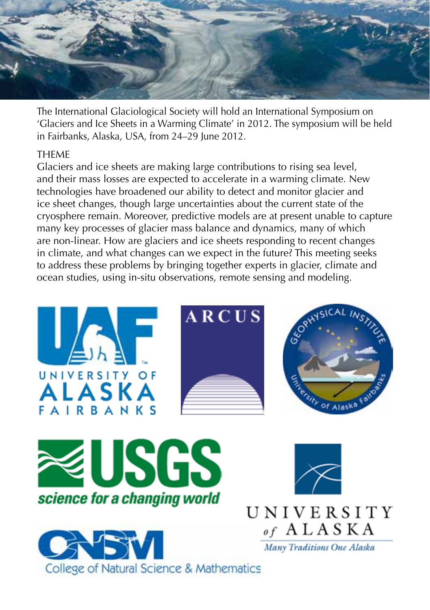

The International Glaciological Society will hold an International Symposium on 'Glaciers and Ice Sheets in a Warming Climate' in 2012. The symposium will be held in Fairbanks, Alaska, USA, from 24–29 June 2012.

#### THEME

Glaciers and ice sheets are making large contributions to rising sea level, and their mass losses are expected to accelerate in a warming climate. New technologies have broadened our ability to detect and monitor glacier and ice sheet changes, though large uncertainties about the current state of the cryosphere remain. Moreover, predictive models are at present unable to capture many key processes of glacier mass balance and dynamics, many of which are non-linear. How are glaciers and ice sheets responding to recent changes in climate, and what changes can we expect in the future? This meeting seeks to address these problems by bringing together experts in glacier, climate and ocean studies, using in-situ observations, remote sensing and modeling.













Many Traditions One Alaska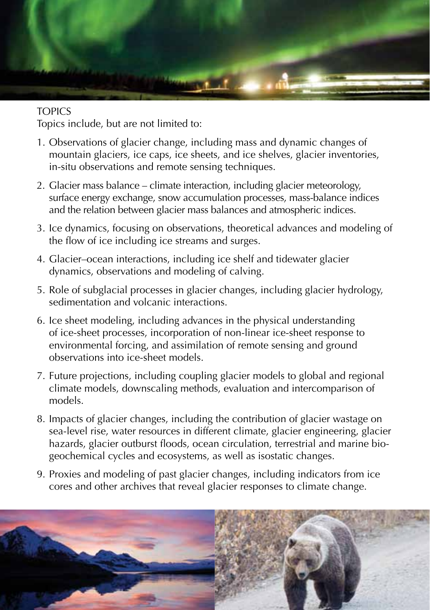

# **TOPICS**

Topics include, but are not limited to:

- 1. Observations of glacier change, including mass and dynamic changes of mountain glaciers, ice caps, ice sheets, and ice shelves, glacier inventories, in-situ observations and remote sensing techniques.
- 2. Glacier mass balance climate interaction, including glacier meteorology, surface energy exchange, snow accumulation processes, mass-balance indices and the relation between glacier mass balances and atmospheric indices.
- 3. Ice dynamics, focusing on observations, theoretical advances and modeling of the flow of ice including ice streams and surges.
- 4. Glacier–ocean interactions, including ice shelf and tidewater glacier dynamics, observations and modeling of calving.
- 5. Role of subglacial processes in glacier changes, including glacier hydrology, sedimentation and volcanic interactions.
- 6. Ice sheet modeling, including advances in the physical understanding of ice-sheet processes, incorporation of non-linear ice-sheet response to environmental forcing, and assimilation of remote sensing and ground observations into ice-sheet models.
- 7. Future projections, including coupling glacier models to global and regional climate models, downscaling methods, evaluation and intercomparison of models.
- 8. Impacts of glacier changes, including the contribution of glacier wastage on sea-level rise, water resources in different climate, glacier engineering, glacier hazards, glacier outburst floods, ocean circulation, terrestrial and marine biogeochemical cycles and ecosystems, as well as isostatic changes.
- 9. Proxies and modeling of past glacier changes, including indicators from ice cores and other archives that reveal glacier responses to climate change.

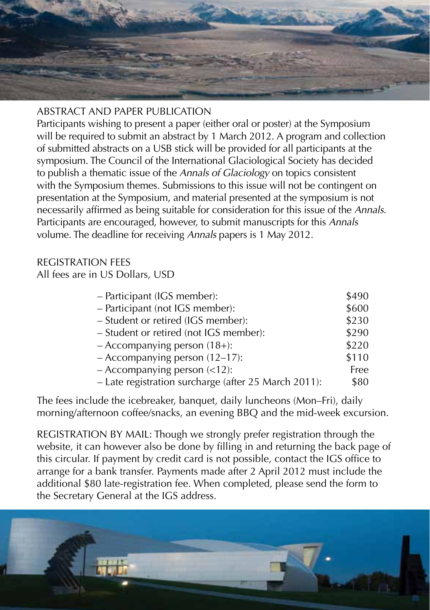

# ABSTRACT AND PAPER PUBLICATION

Participants wishing to present a paper (either oral or poster) at the Symposium will be required to submit an abstract by 1 March 2012. A program and collection of submitted abstracts on a USB stick will be provided for all participants at the symposium. The Council of the International Glaciological Society has decided to publish a thematic issue of the *Annals of Glaciology* on topics consistent with the Symposium themes. Submissions to this issue will not be contingent on presentation at the Symposium, and material presented at the symposium is not necessarily affirmed as being suitable for consideration for this issue of the *Annals*. Participants are encouraged, however, to submit manuscripts for this *Annals* volume. The deadline for receiving *Annals* papers is 1 May 2012.

#### REGISTRATION FEES

All fees are in US Dollars, USD

| - Participant (IGS member):                          | \$490 |
|------------------------------------------------------|-------|
| - Participant (not IGS member):                      | \$600 |
| - Student or retired (IGS member):                   | \$230 |
| - Student or retired (not IGS member):               | \$290 |
| $-$ Accompanying person (18+):                       | \$220 |
| $-$ Accompanying person (12-17):                     | \$110 |
| $-$ Accompanying person $\left($ < 12):              | Free  |
| - Late registration surcharge (after 25 March 2011): | \$80  |

The fees include the icebreaker, banquet, daily luncheons (Mon–Fri), daily morning/afternoon coffee/snacks, an evening BBQ and the mid-week excursion.

REGISTRATION BY MAIL: Though we strongly prefer registration through the website, it can however also be done by filling in and returning the back page of this circular. If payment by credit card is not possible, contact the IGS office to arrange for a bank transfer. Payments made after 2 April 2012 must include the additional \$80 late-registration fee. When completed, please send the form to the Secretary General at the IGS address.

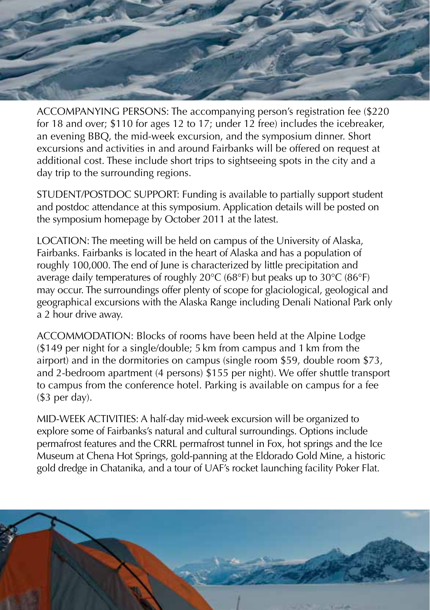

ACCOMPANYING PERSONS: The accompanying person's registration fee (\$220 for 18 and over; \$110 for ages 12 to 17; under 12 free) includes the icebreaker, an evening BBQ, the mid-week excursion, and the symposium dinner. Short excursions and activities in and around Fairbanks will be offered on request at additional cost. These include short trips to sightseeing spots in the city and a day trip to the surrounding regions.

STUDENT/POSTDOC SUPPORT: Funding is available to partially support student and postdoc attendance at this symposium. Application details will be posted on the symposium homepage by October 2011 at the latest.

LOCATION: The meeting will be held on campus of the University of Alaska, Fairbanks. Fairbanks is located in the heart of Alaska and has a population of roughly 100,000. The end of June is characterized by little precipitation and average daily temperatures of roughly 20 $\degree$ C (68 $\degree$ F) but peaks up to 30 $\degree$ C (86 $\degree$ F) may occur. The surroundings offer plenty of scope for glaciological, geological and geographical excursions with the Alaska Range including Denali National Park only a 2 hour drive away.

ACCOMMODATION: Blocks of rooms have been held at the Alpine Lodge (\$149 per night for a single/double; 5 km from campus and 1 km from the airport) and in the dormitories on campus (single room \$59, double room \$73, and 2-bedroom apartment (4 persons) \$155 per night). We offer shuttle transport to campus from the conference hotel. Parking is available on campus for a fee (\$3 per day).

MID-WEEK ACTIVITIES: A half-day mid-week excursion will be organized to explore some of Fairbanks's natural and cultural surroundings. Options include permafrost features and the CRRL permafrost tunnel in Fox, hot springs and the Ice Museum at Chena Hot Springs, gold-panning at the Eldorado Gold Mine, a historic gold dredge in Chatanika, and a tour of UAF's rocket launching facility Poker Flat.

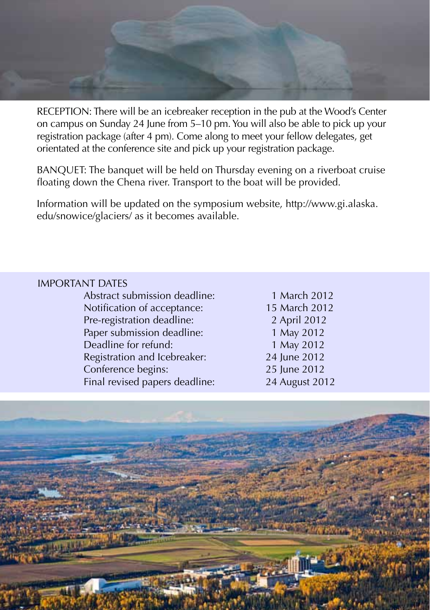

RECEPTION: There will be an icebreaker reception in the pub at the Wood's Center on campus on Sunday 24 June from 5–10 pm. You will also be able to pick up your registration package (after 4 pm). Come along to meet your fellow delegates, get orientated at the conference site and pick up your registration package.

BANQUET: The banquet will be held on Thursday evening on a riverboat cruise floating down the Chena river. Transport to the boat will be provided.

Information will be updated on the symposium website, http://www.gi.alaska. edu/snowice/glaciers/ as it becomes available.

#### IMPORTANT DATES

Abstract submission deadline: 1 March 2012 Notification of acceptance: 15 March 2012 Pre-registration deadline: 2 April 2012 Paper submission deadline: 1 May 2012 Deadline for refund: 1 May 2012 Registration and Icebreaker: 24 June 2012 Conference begins: 25 June 2012 Final revised papers deadline: 24 August 2012

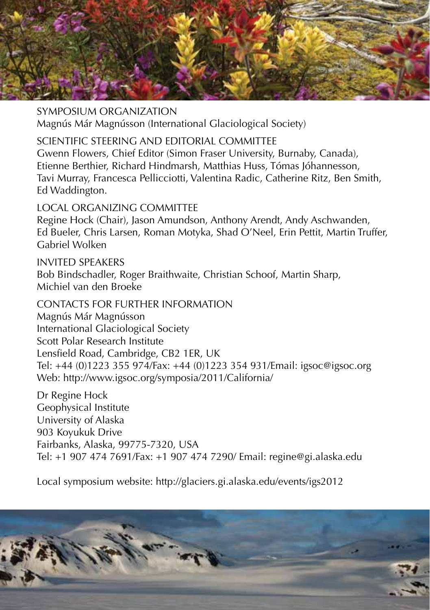

SYMPOSIUM ORGANIZATION Magnús Már Magnússon (International Glaciological Society)

SCIENTIFIC STEERING AND EDITORIAL COMMITTEE Gwenn Flowers, Chief Editor (Simon Fraser University, Burnaby, Canada), Etienne Berthier, Richard Hindmarsh, Matthias Huss, Tómas Jóhannesson, Tavi Murray, Francesca Pellicciotti, Valentina Radic, Catherine Ritz, Ben Smith, Ed Waddington.

# LOCAL ORGANIZING COMMITTEE

Regine Hock (Chair), Jason Amundson, Anthony Arendt, Andy Aschwanden, Ed Bueler, Chris Larsen, Roman Motyka, Shad O'Neel, Erin Pettit, Martin Truffer, Gabriel Wolken

INVITED SPEAKERS Bob Bindschadler, Roger Braithwaite, Christian Schoof, Martin Sharp, Michiel van den Broeke

# CONTACTS FOR FURTHER INFORMATION

Magnús Már Magnússon International Glaciological Society Scott Polar Research Institute Lensfield Road, Cambridge, CB2 1ER, UK Tel: +44 (0)1223 355 974/Fax: +44 (0)1223 354 931/Email: igsoc@igsoc.org Web: http://www.igsoc.org/symposia/2011/California/

Dr Regine Hock Geophysical Institute University of Alaska 903 Koyukuk Drive Fairbanks, Alaska, 99775-7320, USA Tel: +1 907 474 7691/Fax: +1 907 474 7290/ Email: regine@gi.alaska.edu

Local symposium website: http://glaciers.gi.alaska.edu/events/igs2012